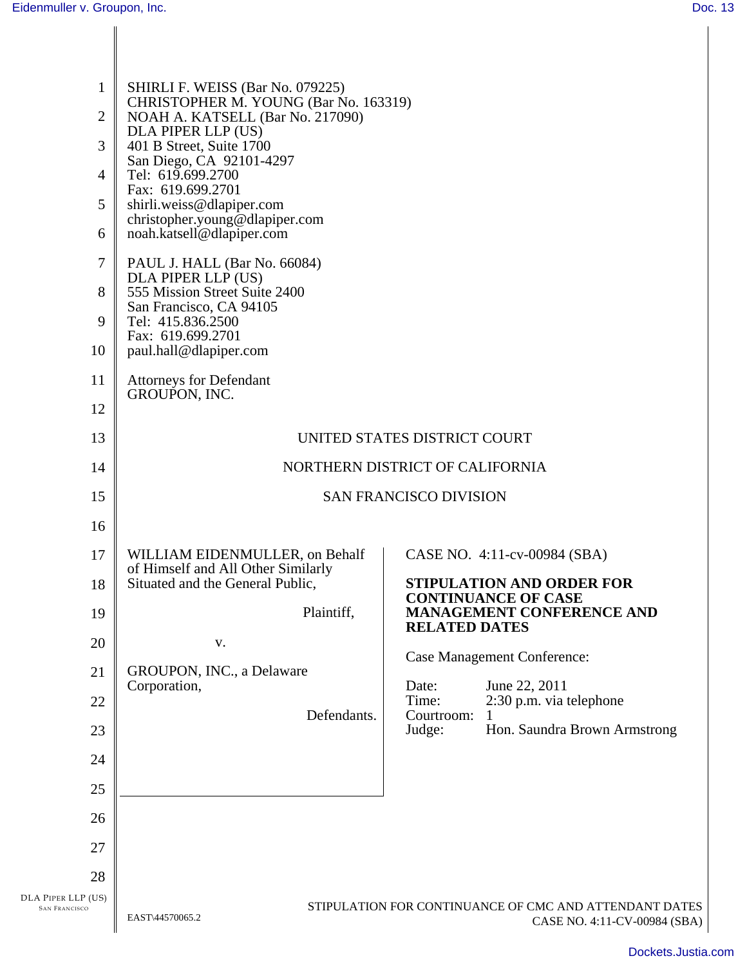| $\mathbf 1$<br>2<br>3<br>$\overline{4}$<br>5<br>6<br>7<br>8<br>9<br>10 | SHIRLI F. WEISS (Bar No. 079225)<br>CHRISTOPHER M. YOUNG (Bar No. 163319)<br>NOAH A. KATSELL (Bar No. 217090)<br>DLA PIPER LLP (US)<br>401 B Street, Suite 1700<br>San Diego, CA 92101-4297<br>Tel: 619.699.2700<br>Fax: 619.699.2701<br>shirli.weiss@dlapiper.com<br>christopher.young@dlapiper.com<br>noah.katsell@dlapiper.com<br>PAUL J. HALL (Bar No. 66084)<br>DLA PIPER LLP (US)<br>555 Mission Street Suite 2400<br>San Francisco, CA 94105<br>Tel: 415.836.2500<br>Fax: 619.699.2701<br>paul.hall@dlapiper.com |                                                                                        |
|------------------------------------------------------------------------|-------------------------------------------------------------------------------------------------------------------------------------------------------------------------------------------------------------------------------------------------------------------------------------------------------------------------------------------------------------------------------------------------------------------------------------------------------------------------------------------------------------------------|----------------------------------------------------------------------------------------|
| 11<br>12                                                               | <b>Attorneys for Defendant</b><br>GROUPON, INC.                                                                                                                                                                                                                                                                                                                                                                                                                                                                         |                                                                                        |
| 13                                                                     |                                                                                                                                                                                                                                                                                                                                                                                                                                                                                                                         | UNITED STATES DISTRICT COURT                                                           |
| 14                                                                     |                                                                                                                                                                                                                                                                                                                                                                                                                                                                                                                         | NORTHERN DISTRICT OF CALIFORNIA                                                        |
| 15                                                                     |                                                                                                                                                                                                                                                                                                                                                                                                                                                                                                                         | <b>SAN FRANCISCO DIVISION</b>                                                          |
| 16                                                                     |                                                                                                                                                                                                                                                                                                                                                                                                                                                                                                                         |                                                                                        |
| 17                                                                     | WILLIAM EIDENMULLER, on Behalf                                                                                                                                                                                                                                                                                                                                                                                                                                                                                          | CASE NO. 4:11-cv-00984 (SBA)                                                           |
| 18                                                                     | of Himself and All Other Similarly<br>Situated and the General Public,                                                                                                                                                                                                                                                                                                                                                                                                                                                  | <b>STIPULATION AND ORDER FOR</b>                                                       |
| 19                                                                     | Plaintiff.                                                                                                                                                                                                                                                                                                                                                                                                                                                                                                              | <b>CONTINUANCE OF CASE</b><br><b>MANAGEMENT CONFERENCE AND</b><br><b>RELATED DATES</b> |
| 20                                                                     | V.                                                                                                                                                                                                                                                                                                                                                                                                                                                                                                                      |                                                                                        |
| 21                                                                     | GROUPON, INC., a Delaware<br>Corporation,                                                                                                                                                                                                                                                                                                                                                                                                                                                                               | <b>Case Management Conference:</b><br>Date:<br>June 22, 2011                           |
| 22                                                                     | Defendants.                                                                                                                                                                                                                                                                                                                                                                                                                                                                                                             | Time:<br>2:30 p.m. via telephone<br>Courtroom:                                         |
| 23                                                                     |                                                                                                                                                                                                                                                                                                                                                                                                                                                                                                                         | Judge:<br>Hon. Saundra Brown Armstrong                                                 |
| 24                                                                     |                                                                                                                                                                                                                                                                                                                                                                                                                                                                                                                         |                                                                                        |
| 25                                                                     |                                                                                                                                                                                                                                                                                                                                                                                                                                                                                                                         |                                                                                        |
| 26                                                                     |                                                                                                                                                                                                                                                                                                                                                                                                                                                                                                                         |                                                                                        |
| 27                                                                     |                                                                                                                                                                                                                                                                                                                                                                                                                                                                                                                         |                                                                                        |
| 28                                                                     |                                                                                                                                                                                                                                                                                                                                                                                                                                                                                                                         |                                                                                        |
| DLA PIPER LLP (US)<br><b>SAN FRANCISCO</b>                             | EAST\44570065.2                                                                                                                                                                                                                                                                                                                                                                                                                                                                                                         | STIPULATION FOR CONTINUANCE OF CMC AND ATTENDANT DATES<br>CASE NO. 4:11-CV-00984 (SBA) |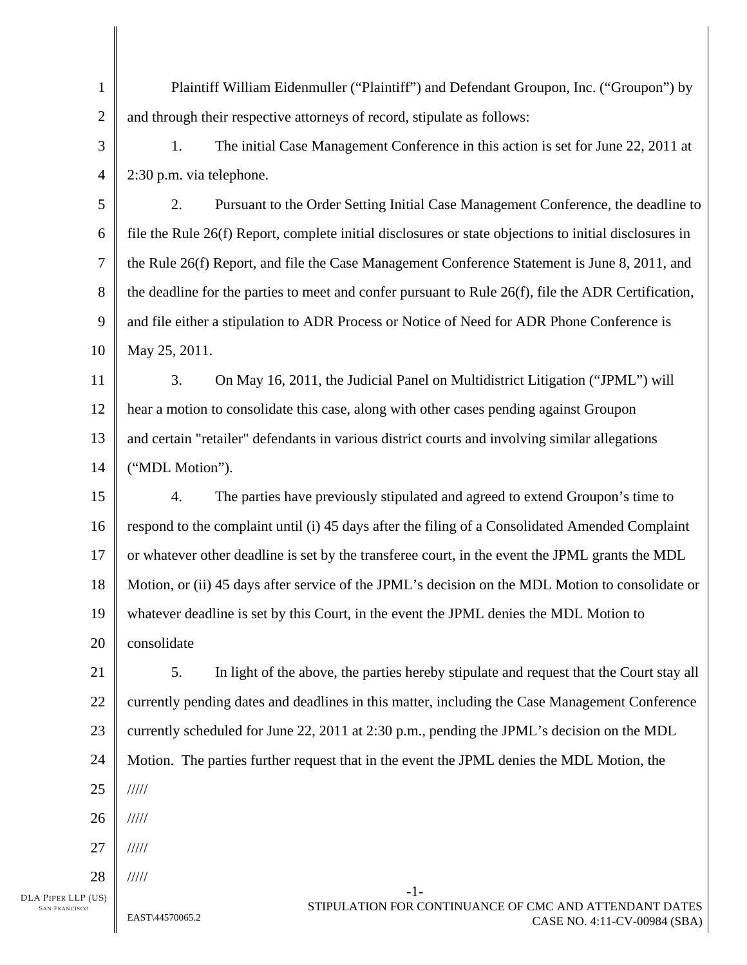1 2 3 4 5 6 7 8 9 10 11 12 13 14 15 16 17 18 19 20 21 22 23 24 25 26 27 28 -1- Plaintiff William Eidenmuller ("Plaintiff") and Defendant Groupon, Inc. ("Groupon") by and through their respective attorneys of record, stipulate as follows: 1. The initial Case Management Conference in this action is set for June 22, 2011 at 2:30 p.m. via telephone. 2. Pursuant to the Order Setting Initial Case Management Conference, the deadline to file the Rule 26(f) Report, complete initial disclosures or state objections to initial disclosures in the Rule 26(f) Report, and file the Case Management Conference Statement is June 8, 2011, and the deadline for the parties to meet and confer pursuant to Rule 26(f), file the ADR Certification, and file either a stipulation to ADR Process or Notice of Need for ADR Phone Conference is May 25, 2011. 3. On May 16, 2011, the Judicial Panel on Multidistrict Litigation ("JPML") will hear a motion to consolidate this case, along with other cases pending against Groupon and certain "retailer" defendants in various district courts and involving similar allegations ("MDL Motion"). 4. The parties have previously stipulated and agreed to extend Groupon's time to respond to the complaint until (i) 45 days after the filing of a Consolidated Amended Complaint or whatever other deadline is set by the transferee court, in the event the JPML grants the MDL Motion, or (ii) 45 days after service of the JPML's decision on the MDL Motion to consolidate or whatever deadline is set by this Court, in the event the JPML denies the MDL Motion to consolidate 5. In light of the above, the parties hereby stipulate and request that the Court stay all currently pending dates and deadlines in this matter, including the Case Management Conference currently scheduled for June 22, 2011 at 2:30 p.m., pending the JPML's decision on the MDL Motion. The parties further request that in the event the JPML denies the MDL Motion, the ///// ///// ///// /////

DLA PIPER LLP (US) SAN FRANCISCO

EAST\44570065.2 STIPULATION FOR CONTINUANCE OF CMC AND ATTENDANT DATES<br>CASE NO. 4:11 CM 00084 (SPA) CASE NO. 4:11-CV-00984 (SBA)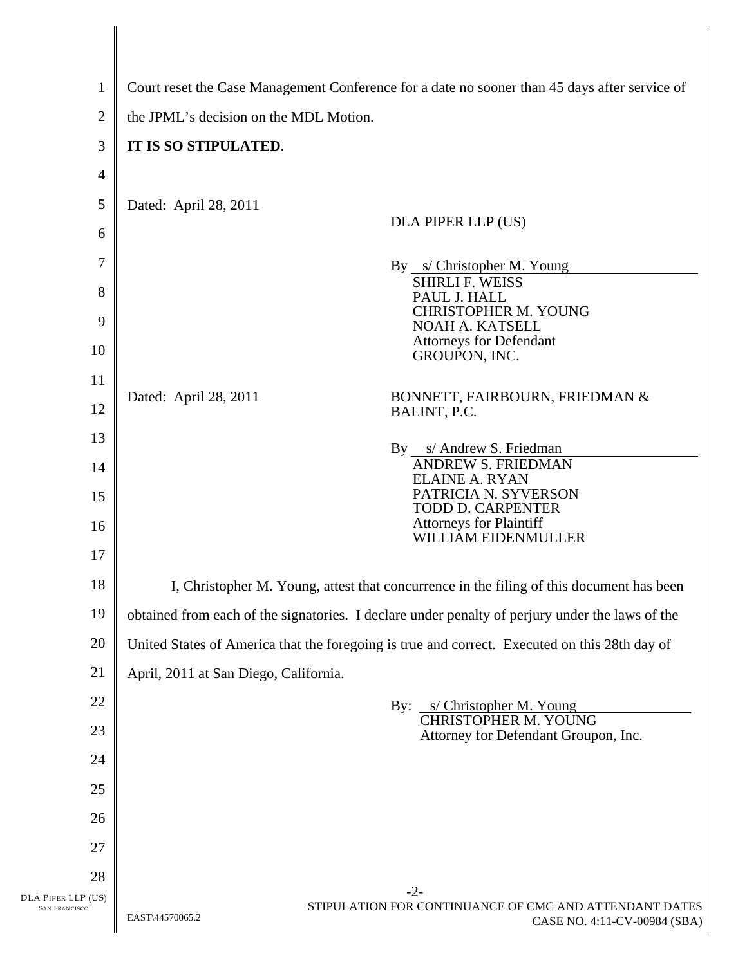| 1                                          | Court reset the Case Management Conference for a date no sooner than 45 days after service of                      |  |
|--------------------------------------------|--------------------------------------------------------------------------------------------------------------------|--|
| $\overline{2}$                             | the JPML's decision on the MDL Motion.                                                                             |  |
| 3                                          | IT IS SO STIPULATED.                                                                                               |  |
| $\overline{4}$                             |                                                                                                                    |  |
| 5                                          | Dated: April 28, 2011                                                                                              |  |
| 6                                          | DLA PIPER LLP (US)                                                                                                 |  |
| 7                                          | By s/ Christopher M. Young                                                                                         |  |
| 8                                          | <b>SHIRLI F. WEISS</b>                                                                                             |  |
| 9                                          | PAUL J. HALL<br>CHRISTOPHER M. YOUNG                                                                               |  |
| 10                                         | NOAH A. KATSELL<br><b>Attorneys for Defendant</b>                                                                  |  |
| 11                                         | GROUPON, INC.                                                                                                      |  |
| 12                                         | Dated: April 28, 2011<br>BONNETT, FAIRBOURN, FRIEDMAN &<br>BALINT, P.C.                                            |  |
| 13                                         |                                                                                                                    |  |
| 14                                         | By s/ Andrew S. Friedman<br><b>ANDREW S. FRIEDMAN</b>                                                              |  |
| 15                                         | <b>ELAINE A. RYAN</b><br>PATRICIA N. SYVERSON                                                                      |  |
| 16                                         | TODD D. CARPENTER<br><b>Attorneys for Plaintiff</b>                                                                |  |
| 17                                         | WILLIAM EIDENMULLER                                                                                                |  |
| 18                                         | I, Christopher M. Young, attest that concurrence in the filing of this document has been                           |  |
| 19                                         | obtained from each of the signatories. I declare under penalty of perjury under the laws of the                    |  |
| 20                                         | United States of America that the foregoing is true and correct. Executed on this 28th day of                      |  |
| 21                                         | April, 2011 at San Diego, California.                                                                              |  |
| 22                                         | By:<br>s/ Christopher M. Young                                                                                     |  |
| 23                                         | <b>CHRISTOPHER M. YOUNG</b><br>Attorney for Defendant Groupon, Inc.                                                |  |
| 24                                         |                                                                                                                    |  |
| 25                                         |                                                                                                                    |  |
| 26                                         |                                                                                                                    |  |
| 27                                         |                                                                                                                    |  |
| 28                                         |                                                                                                                    |  |
| DLA PIPER LLP (US)<br><b>SAN FRANCISCO</b> | $-2-$<br>STIPULATION FOR CONTINUANCE OF CMC AND ATTENDANT DATES<br>EAST\44570065.2<br>CASE NO. 4:11-CV-00984 (SBA) |  |